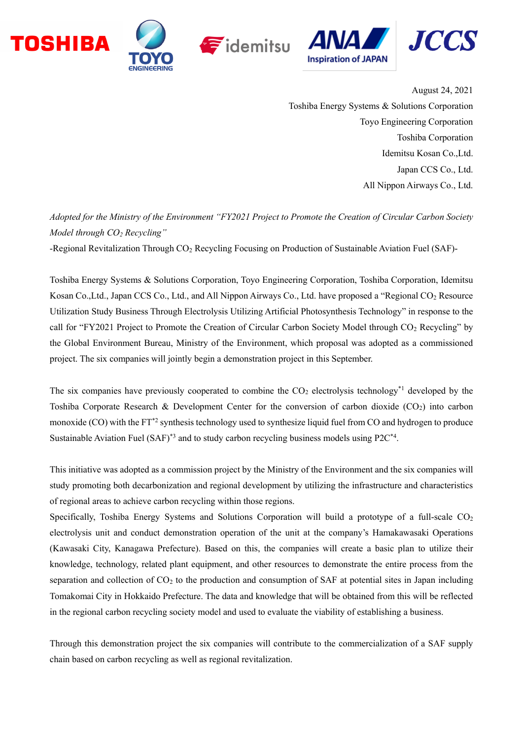







August 24, 2021 Toshiba Energy Systems & Solutions Corporation Toyo Engineering Corporation Toshiba Corporation Idemitsu Kosan Co.,Ltd. Japan CCS Co., Ltd. All Nippon Airways Co., Ltd.

*Adopted for the Ministry of the Environment "FY2021 Project to Promote the Creation of Circular Carbon Society Model through CO<sup>2</sup> Recycling"*

-Regional Revitalization Through CO<sub>2</sub> Recycling Focusing on Production of Sustainable Aviation Fuel (SAF)-

Toshiba Energy Systems & Solutions Corporation, Toyo Engineering Corporation, Toshiba Corporation, Idemitsu Kosan Co.,Ltd., Japan CCS Co., Ltd., and All Nippon Airways Co., Ltd. have proposed a "Regional CO<sub>2</sub> Resource Utilization Study Business Through Electrolysis Utilizing Artificial Photosynthesis Technology" in response to the call for "FY2021 Project to Promote the Creation of Circular Carbon Society Model through CO<sup>2</sup> Recycling" by the Global Environment Bureau, Ministry of the Environment, which proposal was adopted as a commissioned project. The six companies will jointly begin a demonstration project in this September.

The six companies have previously cooperated to combine the  $CO<sub>2</sub>$  electrolysis technology<sup>\*1</sup> developed by the Toshiba Corporate Research & Development Center for the conversion of carbon dioxide (CO<sub>2</sub>) into carbon monoxide (CO) with the FT<sup>\*2</sup> synthesis technology used to synthesize liquid fuel from CO and hydrogen to produce Sustainable Aviation Fuel (SAF)<sup>\*3</sup> and to study carbon recycling business models using  $P2C^{*4}$ .

This initiative was adopted as a commission project by the Ministry of the Environment and the six companies will study promoting both decarbonization and regional development by utilizing the infrastructure and characteristics of regional areas to achieve carbon recycling within those regions.

Specifically, Toshiba Energy Systems and Solutions Corporation will build a prototype of a full-scale  $CO<sub>2</sub>$ electrolysis unit and conduct demonstration operation of the unit at the company's Hamakawasaki Operations (Kawasaki City, Kanagawa Prefecture). Based on this, the companies will create a basic plan to utilize their knowledge, technology, related plant equipment, and other resources to demonstrate the entire process from the separation and collection of  $CO<sub>2</sub>$  to the production and consumption of SAF at potential sites in Japan including Tomakomai City in Hokkaido Prefecture. The data and knowledge that will be obtained from this will be reflected in the regional carbon recycling society model and used to evaluate the viability of establishing a business.

Through this demonstration project the six companies will contribute to the commercialization of a SAF supply chain based on carbon recycling as well as regional revitalization.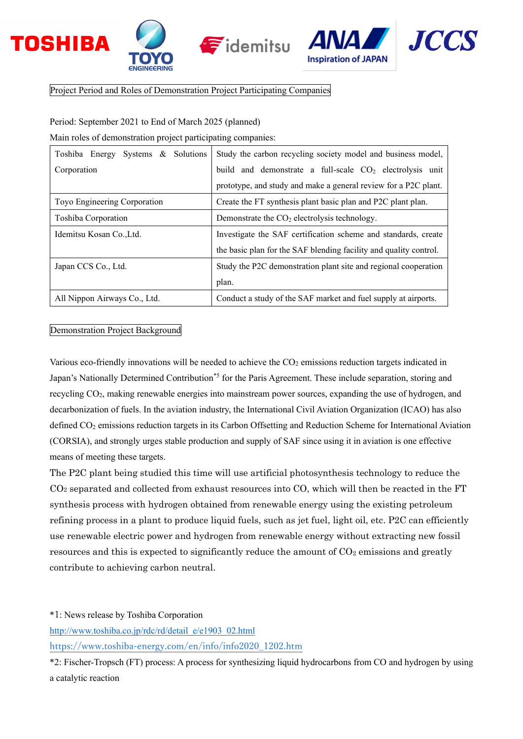





Project Period and Roles of Demonstration Project Participating Companies

Period: September 2021 to End of March 2025 (planned)

Main roles of demonstration project participating companies:

| Toshiba Energy Systems & Solutions | Study the carbon recycling society model and business model,      |
|------------------------------------|-------------------------------------------------------------------|
| Corporation                        | build and demonstrate a full-scale $CO2$ electrolysis unit        |
|                                    | prototype, and study and make a general review for a P2C plant.   |
| Toyo Engineering Corporation       | Create the FT synthesis plant basic plan and P2C plant plan.      |
| Toshiba Corporation                | Demonstrate the $CO2$ electrolysis technology.                    |
| Idemitsu Kosan Co., Ltd.           | Investigate the SAF certification scheme and standards, create    |
|                                    | the basic plan for the SAF blending facility and quality control. |
| Japan CCS Co., Ltd.                | Study the P2C demonstration plant site and regional cooperation   |
|                                    | plan.                                                             |
| All Nippon Airways Co., Ltd.       | Conduct a study of the SAF market and fuel supply at airports.    |

## Demonstration Project Background

Various eco-friendly innovations will be needed to achieve the  $CO<sub>2</sub>$  emissions reduction targets indicated in Japan's Nationally Determined Contribution<sup>\*5</sup> for the Paris Agreement. These include separation, storing and recycling CO2, making renewable energies into mainstream power sources, expanding the use of hydrogen, and decarbonization of fuels. In the aviation industry, the International Civil Aviation Organization (ICAO) has also defined CO<sup>2</sup> emissions reduction targets in its Carbon Offsetting and Reduction Scheme for International Aviation (CORSIA), and strongly urges stable production and supply of SAF since using it in aviation is one effective means of meeting these targets.

The P2C plant being studied this time will use artificial photosynthesis technology to reduce the CO<sup>2</sup> separated and collected from exhaust resources into CO, which will then be reacted in the FT synthesis process with hydrogen obtained from renewable energy using the existing petroleum refining process in a plant to produce liquid fuels, such as jet fuel, light oil, etc. P2C can efficiently use renewable electric power and hydrogen from renewable energy without extracting new fossil resources and this is expected to significantly reduce the amount of  $CO<sub>2</sub>$  emissions and greatly contribute to achieving carbon neutral.

\*1: News release by Toshiba Corporation

[http://www.toshiba.co.jp/rdc/rd/detail\\_e/e1903\\_02.html](http://www.toshiba.co.jp/rdc/rd/detail_e/e1903_02.html) [https://www.toshiba-energy.com/en/info/info2020\\_1202.htm](https://www.toshiba-energy.com/en/info/info2020_1202.htm)

\*2: Fischer-Tropsch (FT) process: A process for synthesizing liquid hydrocarbons from CO and hydrogen by using a catalytic reaction